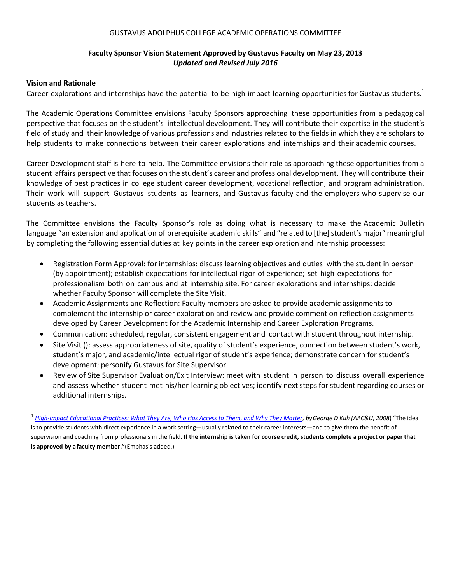## GUSTAVUS ADOLPHUS COLLEGE ACADEMIC OPERATIONS COMMITTEE

## **Faculty Sponsor Vision Statement Approved by Gustavus Faculty on May 23, 2013** *Updated and Revised July 2016*

## **Vision and Rationale**

Career explorations and internships have the potential to be high impact learning opportunities for Gustavus students.<sup>1</sup>

The Academic Operations Committee envisions Faculty Sponsors approaching these opportunities from a pedagogical perspective that focuses on the student's intellectual development. They will contribute their expertise in the student's field of study and their knowledge of various professions and industries related to the fields in which they are scholars to help students to make connections between their career explorations and internships and their academic courses.

Career Development staff is here to help. The Committee envisions their role as approaching these opportunities from a student affairs perspective that focuses on the student's career and professional development. They will contribute their knowledge of best practices in college student career development, vocationalreflection, and program administration. Their work will support Gustavus students as learners, and Gustavus faculty and the employers who supervise our students as teachers.

The Committee envisions the Faculty Sponsor's role as doing what is necessary to make the Academic Bulletin language "an extension and application of prerequisite academic skills" and "related to [the] student's major" meaningful by completing the following essential duties at key points in the career exploration and internship processes:

- Registration Form Approval: for internships: discuss learning objectives and duties with the student in person (by appointment); establish expectations for intellectual rigor of experience; set high expectations for professionalism both on campus and at internship site. For career explorations and internships: decide whether Faculty Sponsor will complete the Site Visit.
- Academic Assignments and Reflection: Faculty members are asked to provide academic assignments to complement the internship or career exploration and review and provide comment on reflection assignments developed by Career Development for the Academic Internship and Career Exploration Programs.
- Communication: scheduled, regular, consistent engagement and contact with student throughout internship.
- Site Visit (): assess appropriateness of site, quality of student's experience, connection between student's work, student's major, and academic/intellectual rigor of student's experience; demonstrate concern for student's development; personify Gustavus for Site Supervisor.
- Review of Site Supervisor Evaluation/Exit Interview: meet with student in person to discuss overall experience and assess whether student met his/her learning objectives; identify next steps for student regarding courses or additional internships.

1 *High-Impact Educational Practices: What They Are, Who Has Access to Them, and Why They Matter, byGeorge D Kuh (AAC&U, 2008*) "The idea is to provide students with direct experience in a work setting—usually related to their career interests—and to give them the benefit of supervision and coaching from professionals in the field. **If the internship is taken for course credit, students complete a project or paper that is approved by afaculty member."**(Emphasis added.)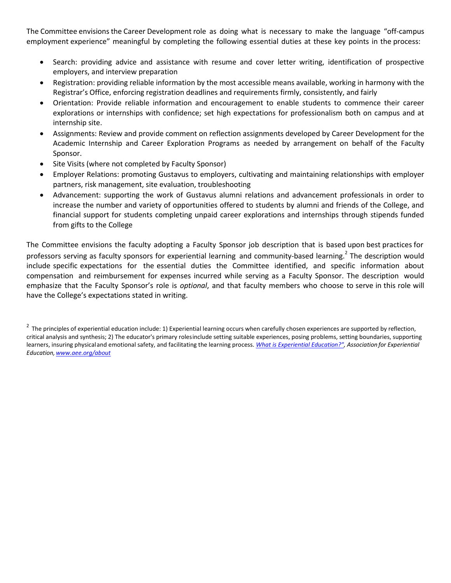The Committee envisions the Career Development role as doing what is necessary to make the language "off-campus employment experience" meaningful by completing the following essential duties at these key points in the process:

- Search: providing advice and assistance with resume and cover letter writing, identification of prospective employers, and interview preparation
- Registration: providing reliable information by the most accessible means available, working in harmony with the Registrar's Office, enforcing registration deadlines and requirements firmly, consistently, and fairly
- Orientation: Provide reliable information and encouragement to enable students to commence their career explorations or internships with confidence; set high expectations for professionalism both on campus and at internship site.
- Assignments: Review and provide comment on reflection assignments developed by Career Development for the Academic Internship and Career Exploration Programs as needed by arrangement on behalf of the Faculty Sponsor.
- Site Visits (where not completed by Faculty Sponsor)
- Employer Relations: promoting Gustavus to employers, cultivating and maintaining relationships with employer partners, risk management, site evaluation, troubleshooting
- Advancement: supporting the work of Gustavus alumni relations and advancement professionals in order to increase the number and variety of opportunities offered to students by alumni and friends of the College, and financial support for students completing unpaid career explorations and internships through stipends funded from gifts to the College

The Committee envisions the faculty adopting a Faculty Sponsor job description that is based upon best practices for professors serving as faculty sponsors for experiential learning and community-based learning.<sup>2</sup> The description would include specific expectations for the essential duties the Committee identified, and specific information about compensation and reimbursement for expenses incurred while serving as a Faculty Sponsor. The description would emphasize that the Faculty Sponsor's role is *optional*, and that faculty members who choose to serve in this role will have the College's expectations stated in writing.

 $^2$  The principles of experiential education include: 1) Experiential learning occurs when carefully chosen experiences are supported by reflection, critical analysis and synthesis; 2) The educator's primary rolesinclude setting suitable experiences, posing problems, setting boundaries, supporting learners, insuring physicaland emotional safety, and facilitating the learning process. *What is Experiential Education?", Association for Experiential Education, [www.aee.org/about](http://www.aee.org/about)*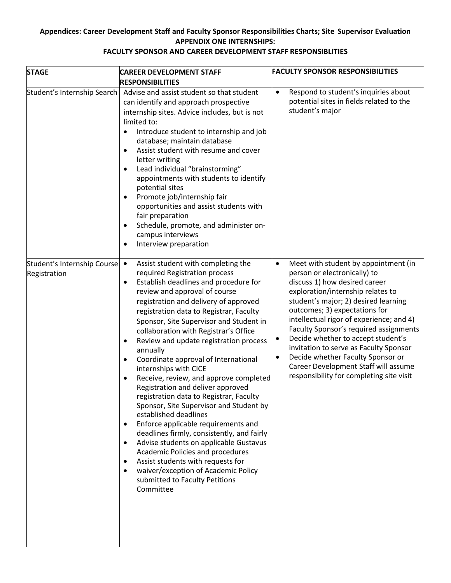# **Appendices: Career Development Staff and Faculty Sponsor Responsibilities Charts; Site Supervisor Evaluation APPENDIX ONE INTERNSHIPS:**

| <b>STAGE</b>                                | <b>CAREER DEVELOPMENT STAFF</b><br><b>RESPONSIBILITIES</b>                                                                                                                                                                                                                                                                                                                                                                                                                                                                                                                                                                                                                                                                                                                                                                                                                                                                                                                                                                                            | <b>FACULTY SPONSOR RESPONSIBILITIES</b>                                                                                                                                                                                                                                                                                                                                                                                                                                                                                                   |
|---------------------------------------------|-------------------------------------------------------------------------------------------------------------------------------------------------------------------------------------------------------------------------------------------------------------------------------------------------------------------------------------------------------------------------------------------------------------------------------------------------------------------------------------------------------------------------------------------------------------------------------------------------------------------------------------------------------------------------------------------------------------------------------------------------------------------------------------------------------------------------------------------------------------------------------------------------------------------------------------------------------------------------------------------------------------------------------------------------------|-------------------------------------------------------------------------------------------------------------------------------------------------------------------------------------------------------------------------------------------------------------------------------------------------------------------------------------------------------------------------------------------------------------------------------------------------------------------------------------------------------------------------------------------|
| Student's Internship Search                 | Advise and assist student so that student<br>can identify and approach prospective<br>internship sites. Advice includes, but is not<br>limited to:<br>Introduce student to internship and job<br>$\bullet$<br>database; maintain database<br>Assist student with resume and cover<br>letter writing<br>Lead individual "brainstorming"<br>appointments with students to identify<br>potential sites<br>Promote job/internship fair<br>opportunities and assist students with<br>fair preparation<br>Schedule, promote, and administer on-<br>campus interviews<br>Interview preparation<br>٠                                                                                                                                                                                                                                                                                                                                                                                                                                                          | Respond to student's inquiries about<br>$\bullet$<br>potential sites in fields related to the<br>student's major                                                                                                                                                                                                                                                                                                                                                                                                                          |
| Student's Internship Course<br>Registration | Assist student with completing the<br>$\bullet$<br>required Registration process<br>Establish deadlines and procedure for<br>٠<br>review and approval of course<br>registration and delivery of approved<br>registration data to Registrar, Faculty<br>Sponsor, Site Supervisor and Student in<br>collaboration with Registrar's Office<br>Review and update registration process<br>$\bullet$<br>annually<br>Coordinate approval of International<br>$\bullet$<br>internships with CICE<br>Receive, review, and approve completed<br>$\bullet$<br>Registration and deliver approved<br>registration data to Registrar, Faculty<br>Sponsor, Site Supervisor and Student by<br>established deadlines<br>Enforce applicable requirements and<br>$\bullet$<br>deadlines firmly, consistently, and fairly<br>Advise students on applicable Gustavus<br>$\bullet$<br>Academic Policies and procedures<br>Assist students with requests for<br>$\bullet$<br>waiver/exception of Academic Policy<br>$\bullet$<br>submitted to Faculty Petitions<br>Committee | Meet with student by appointment (in<br>$\bullet$<br>person or electronically) to<br>discuss 1) how desired career<br>exploration/internship relates to<br>student's major; 2) desired learning<br>outcomes; 3) expectations for<br>intellectual rigor of experience; and 4)<br>Faculty Sponsor's required assignments<br>Decide whether to accept student's<br>٠<br>invitation to serve as Faculty Sponsor<br>Decide whether Faculty Sponsor or<br>٠<br>Career Development Staff will assume<br>responsibility for completing site visit |

## **FACULTY SPONSOR AND CAREER DEVELOPMENT STAFF RESPONSIBLITIES**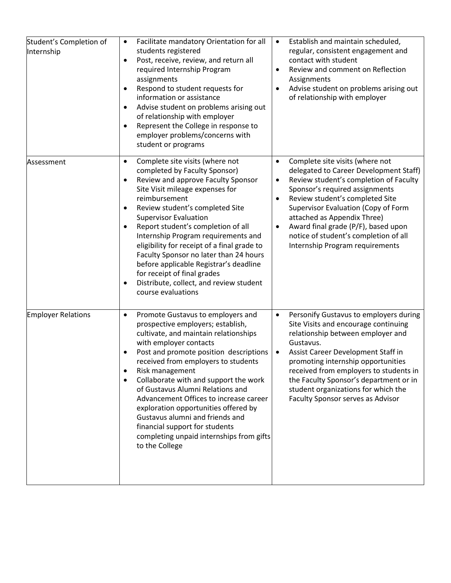| Student's Completion of<br>Internship | Facilitate mandatory Orientation for all<br>$\bullet$<br>students registered<br>Post, receive, review, and return all<br>$\bullet$<br>required Internship Program<br>assignments<br>Respond to student requests for<br>$\bullet$<br>information or assistance<br>Advise student on problems arising out<br>$\bullet$<br>of relationship with employer<br>Represent the College in response to<br>employer problems/concerns with<br>student or programs                                                                                                                                                        | Establish and maintain scheduled,<br>$\bullet$<br>regular, consistent engagement and<br>contact with student<br>Review and comment on Reflection<br>Assignments<br>Advise student on problems arising out<br>of relationship with employer                                                                                                                                                                               |
|---------------------------------------|----------------------------------------------------------------------------------------------------------------------------------------------------------------------------------------------------------------------------------------------------------------------------------------------------------------------------------------------------------------------------------------------------------------------------------------------------------------------------------------------------------------------------------------------------------------------------------------------------------------|--------------------------------------------------------------------------------------------------------------------------------------------------------------------------------------------------------------------------------------------------------------------------------------------------------------------------------------------------------------------------------------------------------------------------|
| Assessment                            | Complete site visits (where not<br>$\bullet$<br>completed by Faculty Sponsor)<br>Review and approve Faculty Sponsor<br>$\bullet$<br>Site Visit mileage expenses for<br>reimbursement<br>Review student's completed Site<br>$\bullet$<br><b>Supervisor Evaluation</b><br>Report student's completion of all<br>$\bullet$<br>Internship Program requirements and<br>eligibility for receipt of a final grade to<br>Faculty Sponsor no later than 24 hours<br>before applicable Registrar's deadline<br>for receipt of final grades<br>Distribute, collect, and review student<br>$\bullet$<br>course evaluations | Complete site visits (where not<br>$\bullet$<br>delegated to Career Development Staff)<br>Review student's completion of Faculty<br>$\bullet$<br>Sponsor's required assignments<br>Review student's completed Site<br>Supervisor Evaluation (Copy of Form<br>attached as Appendix Three)<br>Award final grade (P/F), based upon<br>$\bullet$<br>notice of student's completion of all<br>Internship Program requirements |
| <b>Employer Relations</b>             | Promote Gustavus to employers and<br>$\bullet$<br>prospective employers; establish,<br>cultivate, and maintain relationships<br>with employer contacts<br>Post and promote position descriptions<br>$\bullet$<br>received from employers to students<br>Risk management<br>$\bullet$<br>Collaborate with and support the work<br>$\bullet$<br>of Gustavus Alumni Relations and<br>Advancement Offices to increase career<br>exploration opportunities offered by<br>Gustavus alumni and friends and<br>financial support for students<br>completing unpaid internships from gifts<br>to the College            | Personify Gustavus to employers during<br>$\bullet$<br>Site Visits and encourage continuing<br>relationship between employer and<br>Gustavus.<br>Assist Career Development Staff in<br>$\bullet$<br>promoting internship opportunities<br>received from employers to students in<br>the Faculty Sponsor's department or in<br>student organizations for which the<br>Faculty Sponsor serves as Advisor                   |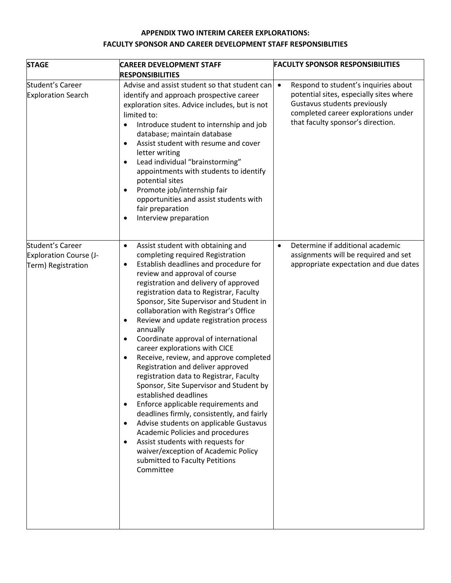# **APPENDIX TWO INTERIM CAREER EXPLORATIONS:**

## **FACULTY SPONSOR AND CAREER DEVELOPMENT STAFF RESPONSIBLITIES**

| <b>STAGE</b>                                                                   | <b>CAREER DEVELOPMENT STAFF</b><br><b>RESPONSIBILITIES</b>                                                                                                                                                                                                                                                                                                                                                                                                                                                                                                                                                                                                                                                                                                                                                                                                                                                                                                                                                               | <b>FACULTY SPONSOR RESPONSIBILITIES</b>                                                                                                                                                                  |
|--------------------------------------------------------------------------------|--------------------------------------------------------------------------------------------------------------------------------------------------------------------------------------------------------------------------------------------------------------------------------------------------------------------------------------------------------------------------------------------------------------------------------------------------------------------------------------------------------------------------------------------------------------------------------------------------------------------------------------------------------------------------------------------------------------------------------------------------------------------------------------------------------------------------------------------------------------------------------------------------------------------------------------------------------------------------------------------------------------------------|----------------------------------------------------------------------------------------------------------------------------------------------------------------------------------------------------------|
| <b>Student's Career</b><br><b>Exploration Search</b>                           | Advise and assist student so that student can<br>identify and approach prospective career<br>exploration sites. Advice includes, but is not<br>limited to:<br>Introduce student to internship and job<br>database; maintain database<br>Assist student with resume and cover<br>$\bullet$<br>letter writing<br>Lead individual "brainstorming"<br>appointments with students to identify<br>potential sites<br>Promote job/internship fair<br>opportunities and assist students with<br>fair preparation<br>Interview preparation<br>$\bullet$                                                                                                                                                                                                                                                                                                                                                                                                                                                                           | Respond to student's inquiries about<br>$\bullet$<br>potential sites, especially sites where<br>Gustavus students previously<br>completed career explorations under<br>that faculty sponsor's direction. |
| <b>Student's Career</b><br><b>Exploration Course (J-</b><br>Term) Registration | Assist student with obtaining and<br>$\bullet$<br>completing required Registration<br>Establish deadlines and procedure for<br>٠<br>review and approval of course<br>registration and delivery of approved<br>registration data to Registrar, Faculty<br>Sponsor, Site Supervisor and Student in<br>collaboration with Registrar's Office<br>Review and update registration process<br>$\bullet$<br>annually<br>Coordinate approval of international<br>career explorations with CICE<br>Receive, review, and approve completed<br>Registration and deliver approved<br>registration data to Registrar, Faculty<br>Sponsor, Site Supervisor and Student by<br>established deadlines<br>Enforce applicable requirements and<br>$\bullet$<br>deadlines firmly, consistently, and fairly<br>Advise students on applicable Gustavus<br>$\bullet$<br>Academic Policies and procedures<br>Assist students with requests for<br>$\bullet$<br>waiver/exception of Academic Policy<br>submitted to Faculty Petitions<br>Committee | Determine if additional academic<br>$\bullet$<br>assignments will be required and set<br>appropriate expectation and due dates                                                                           |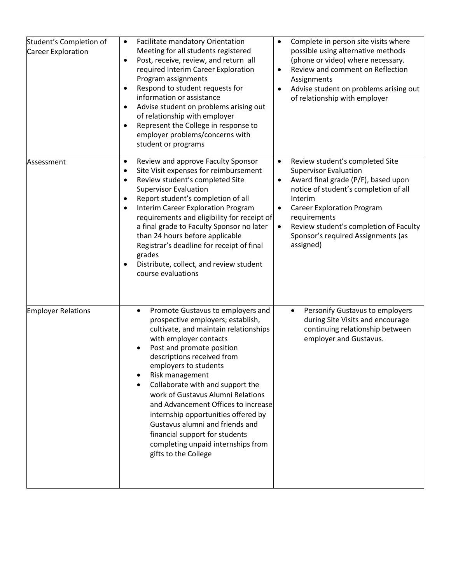| Student's Completion of<br>Career Exploration | Facilitate mandatory Orientation<br>$\bullet$<br>Meeting for all students registered<br>Post, receive, review, and return all<br>$\bullet$<br>required Interim Career Exploration<br>Program assignments<br>Respond to student requests for<br>$\bullet$<br>information or assistance<br>Advise student on problems arising out<br>$\bullet$<br>of relationship with employer<br>Represent the College in response to<br>$\bullet$<br>employer problems/concerns with<br>student or programs                                                            | Complete in person site visits where<br>$\bullet$<br>possible using alternative methods<br>(phone or video) where necessary.<br>Review and comment on Reflection<br>$\bullet$<br>Assignments<br>Advise student on problems arising out<br>$\bullet$<br>of relationship with employer                                                                             |
|-----------------------------------------------|---------------------------------------------------------------------------------------------------------------------------------------------------------------------------------------------------------------------------------------------------------------------------------------------------------------------------------------------------------------------------------------------------------------------------------------------------------------------------------------------------------------------------------------------------------|------------------------------------------------------------------------------------------------------------------------------------------------------------------------------------------------------------------------------------------------------------------------------------------------------------------------------------------------------------------|
| Assessment                                    | Review and approve Faculty Sponsor<br>$\bullet$<br>Site Visit expenses for reimbursement<br>$\bullet$<br>Review student's completed Site<br>$\bullet$<br><b>Supervisor Evaluation</b><br>Report student's completion of all<br>$\bullet$<br><b>Interim Career Exploration Program</b><br>٠<br>requirements and eligibility for receipt of<br>a final grade to Faculty Sponsor no later<br>than 24 hours before applicable<br>Registrar's deadline for receipt of final<br>grades<br>Distribute, collect, and review student<br>٠<br>course evaluations  | Review student's completed Site<br>$\bullet$<br><b>Supervisor Evaluation</b><br>Award final grade (P/F), based upon<br>$\bullet$<br>notice of student's completion of all<br>Interim<br><b>Career Exploration Program</b><br>$\bullet$<br>requirements<br>Review student's completion of Faculty<br>$\bullet$<br>Sponsor's required Assignments (as<br>assigned) |
| <b>Employer Relations</b>                     | Promote Gustavus to employers and<br>$\bullet$<br>prospective employers; establish,<br>cultivate, and maintain relationships<br>with employer contacts<br>Post and promote position<br>descriptions received from<br>employers to students<br>Risk management<br>Collaborate with and support the<br>work of Gustavus Alumni Relations<br>and Advancement Offices to increase<br>internship opportunities offered by<br>Gustavus alumni and friends and<br>financial support for students<br>completing unpaid internships from<br>gifts to the College | Personify Gustavus to employers<br>٠<br>during Site Visits and encourage<br>continuing relationship between<br>employer and Gustavus.                                                                                                                                                                                                                            |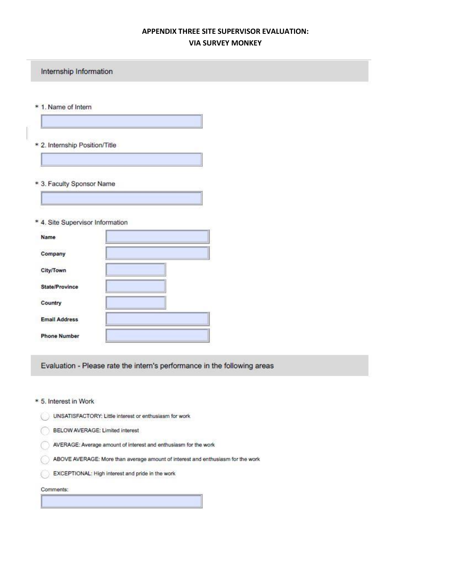# **APPENDIX THREE SITE SUPERVISOR EVALUATION: VIA SURVEY MONKEY**

L.

| Internship Information<br>* 1. Name of Intern<br>* 2. Internship Position/Title |  |
|---------------------------------------------------------------------------------|--|
|                                                                                 |  |
|                                                                                 |  |
|                                                                                 |  |
|                                                                                 |  |
|                                                                                 |  |
|                                                                                 |  |
|                                                                                 |  |
|                                                                                 |  |
| * 3. Faculty Sponsor Name                                                       |  |
|                                                                                 |  |
| * 4. Site Supervisor Information                                                |  |
| Name                                                                            |  |
| Company                                                                         |  |
| City/Town                                                                       |  |
| <b>State/Province</b>                                                           |  |
|                                                                                 |  |
| Country                                                                         |  |
| <b>Email Address</b>                                                            |  |
| <b>Phone Number</b>                                                             |  |
|                                                                                 |  |
| Evaluation - Please rate the intern's performance in the following areas        |  |
|                                                                                 |  |
| * 5. Interest in Work                                                           |  |
| UNSATISFACTORY: Little interest or enthusiasm for work                          |  |
| BELOW AVERAGE: Limited interest                                                 |  |
| AVERAGE: Average amount of interest and enthusiasm for the work                 |  |
| ABOVE AVERAGE: More than average amount of interest and enthusiasm for the work |  |
| EXCEPTIONAL: High interest and pride in the work                                |  |
| Comments:                                                                       |  |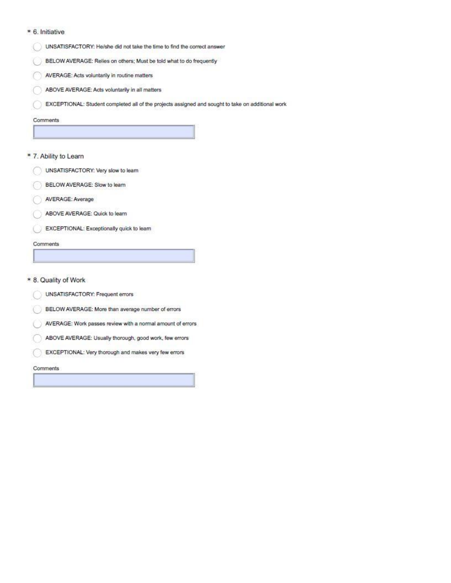## \* 6. Initiative



BELOW AVERAGE: Relies on others; Must be told what to do frequently

AVERAGE: Acts voluntarily in routine matters

ABOVE AVERAGE: Acts voluntarily in all matters

EXCEPTIONAL: Student completed all of the projects assigned and sought to take on additional work

#### Comments

C

## \* 7. Ability to Learn



- BELOW AVERAGE: Slow to learn
- AVERAGE: Average
- ABOVE AVERAGE: Quick to learn
- EXCEPTIONAL: Exceptionally quick to learn ť.

## Comments

\* 8. Quality of Work

- UNSATISFACTORY: Frequent errors
- BELOW AVERAGE: More than average number of errors
- AVERAGE: Work passes review with a normal amount of errors
- ABOVE AVERAGE: Usually thorough, good work, few errors ť
- EXCEPTIONAL: Very thorough and makes very few errors C

#### Comments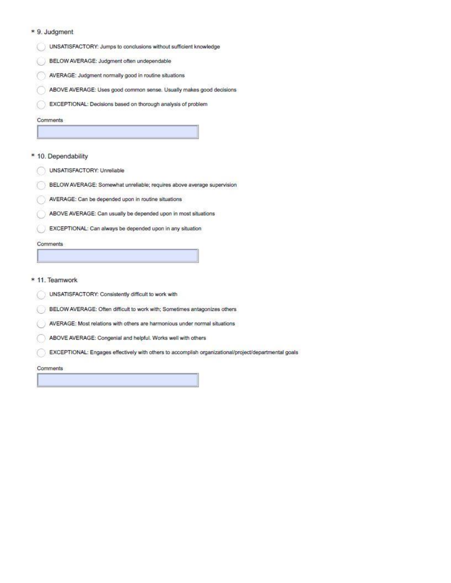## \* 9. Judgment

- UNSATISFACTORY: Jumps to conclusions without sufficient knowledge
- BELOW AVERAGE: Judgment often undependable
- AVERAGE: Judgment normally good in routine situations
- ABOVE AVERAGE: Uses good common sense. Usually makes good decisions
- EXCEPTIONAL: Decisions based on thorough analysis of problem

#### Comments

## \* 10. Dependability

- UNSATISFACTORY: Unreliable
- BELOW AVERAGE: Somewhat unreliable; requires above average supervision
- AVERAGE: Can be depended upon in routine situations
- ABOVE AVERAGE: Can usually be depended upon in most situations
- EXCEPTIONAL: Can always be depended upon in any situation

## Comments

\* 11. Teamwork

- UNSATISFACTORY: Consistently difficult to work with
- BELOW AVERAGE: Often difficult to work with; Sometimes antagonizes others
- AVERAGE: Most relations with others are harmonious under normal situations
- ABOVE AVERAGE: Congenial and helpful. Works well with others

EXCEPTIONAL: Engages effectively with others to accomplish organizational/project/departmental goals

#### Comments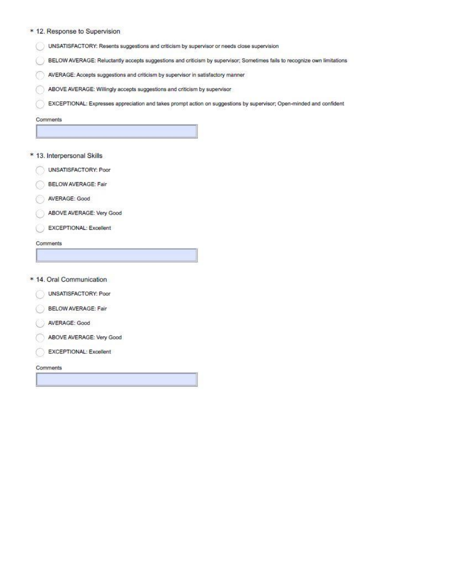### \* 12. Response to Supervision

UNSATISFACTORY: Resents suggestions and criticism by supervisor or needs close supervision

BELOW AVERAGE: Reluctantly accepts suggestions and criticism by supervisor; Sometimes fails to recognize own limitations

AVERAGE: Accepts suggestions and criticism by supervisor in satisfactory manner

ABOVE AVERAGE: Willingly accepts suggestions and criticism by supervisor

EXCEPTIONAL: Expresses appreciation and takes prompt action on suggestions by supervisor; Open-minded and confident

#### Comments

### \* 13. Interpersonal Skills

- UNSATISFACTORY: Poor
- **BELOW AVERAGE: Fair**
- AVERAGE: Good
- ABOVE AVERAGE: Very Good
- EXCEPTIONAL: Excellent

## Comments

\* 14. Oral Communication

- **UNSATISFACTORY: Poor**
- **BELOW AVERAGE: Fair**
- AVERAGE: Good
- ABOVE AVERAGE: Very Good
- EXCEPTIONAL: Excellent

Comments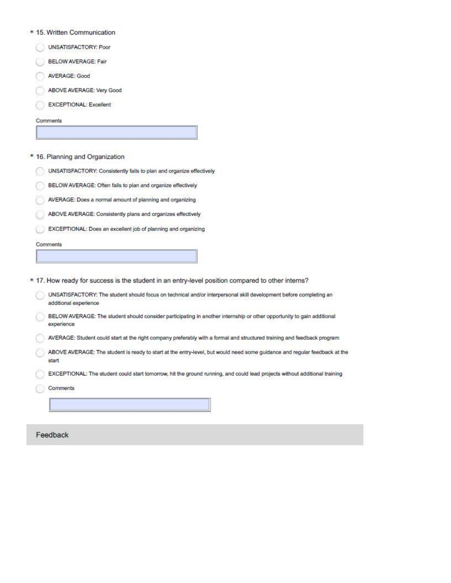- \* 15. Written Communication
	- **UNSATISFACTORY: Poor**
	- **BELOW AVERAGE: Fair**
	- AVERAGE: Good
	- ABOVE AVERAGE: Very Good
	- **EXCEPTIONAL: Excellent**

Comments

## \* 16. Planning and Organization

- UNSATISFACTORY: Consistently fails to plan and organize effectively
- BELOW AVERAGE: Often fails to plan and organize effectively
- AVERAGE: Does a normal amount of planning and organizing
- ABOVE AVERAGE: Consistently plans and organizes effectively
- EXCEPTIONAL: Does an excellent job of planning and organizing

## Comments

- \* 17. How ready for success is the student in an entry-level position compared to other interns?
	- UNSATISFACTORY: The student should focus on technical and/or interpersonal skill development before completing an additional experience
	- BELOW AVERAGE: The student should consider participating in another internship or other opportunity to gain additional experience
	- AVERAGE: Student could start at the right company preferably with a formal and structured training and feedback program
	- ABOVE AVERAGE: The student is ready to start at the entry-level, but would need some guidance and regular feedback at the start
	- EXCEPTIONAL: The student could start tomorrow, hit the ground running, and could lead projects without additional training
	- Comments

## Feedback